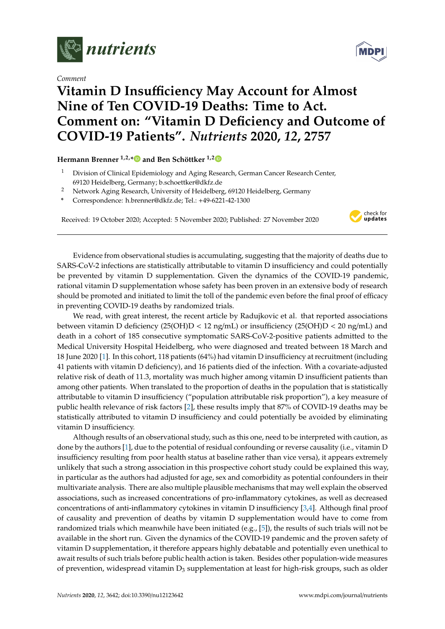

*Comment*

## **Vitamin D Insufficiency May Account for Almost Nine of Ten COVID-19 Deaths: Time to Act. Comment on: "Vitamin D Deficiency and Outcome of COVID-19 Patients".** *Nutrients* **2020,** *12***, 2757**

## **Hermann Brenner 1,2,[\\*](https://orcid.org/0000-0002-6129-1572) and Ben Schöttker 1,[2](https://orcid.org/0000-0002-1217-4521)**

- <sup>1</sup> Division of Clinical Epidemiology and Aging Research, German Cancer Research Center, 69120 Heidelberg, Germany; b.schoettker@dkfz.de
- <sup>2</sup> Network Aging Research, University of Heidelberg, 69120 Heidelberg, Germany
- **\*** Correspondence: h.brenner@dkfz.de; Tel.: +49-6221-42-1300

Received: 19 October 2020; Accepted: 5 November 2020; Published: 27 November 2020



Evidence from observational studies is accumulating, suggesting that the majority of deaths due to SARS-CoV-2 infections are statistically attributable to vitamin D insufficiency and could potentially be prevented by vitamin D supplementation. Given the dynamics of the COVID-19 pandemic, rational vitamin D supplementation whose safety has been proven in an extensive body of research should be promoted and initiated to limit the toll of the pandemic even before the final proof of efficacy in preventing COVID-19 deaths by randomized trials.

We read, with great interest, the recent article by Radujkovic et al. that reported associations between vitamin D deficiency (25(OH)D < 12 ng/mL) or insufficiency (25(OH)D < 20 ng/mL) and death in a cohort of 185 consecutive symptomatic SARS-CoV-2-positive patients admitted to the Medical University Hospital Heidelberg, who were diagnosed and treated between 18 March and 18 June 2020 [\[1\]](#page-1-0). In this cohort, 118 patients (64%) had vitamin D insufficiency at recruitment (including 41 patients with vitamin D deficiency), and 16 patients died of the infection. With a covariate-adjusted relative risk of death of 11.3, mortality was much higher among vitamin D insufficient patients than among other patients. When translated to the proportion of deaths in the population that is statistically attributable to vitamin D insufficiency ("population attributable risk proportion"), a key measure of public health relevance of risk factors [\[2\]](#page-1-1), these results imply that 87% of COVID-19 deaths may be statistically attributed to vitamin D insufficiency and could potentially be avoided by eliminating vitamin D insufficiency.

Although results of an observational study, such as this one, need to be interpreted with caution, as done by the authors [\[1\]](#page-1-0), due to the potential of residual confounding or reverse causality (i.e., vitamin D insufficiency resulting from poor health status at baseline rather than vice versa), it appears extremely unlikely that such a strong association in this prospective cohort study could be explained this way, in particular as the authors had adjusted for age, sex and comorbidity as potential confounders in their multivariate analysis. There are also multiple plausible mechanisms that may well explain the observed associations, such as increased concentrations of pro-inflammatory cytokines, as well as decreased concentrations of anti-inflammatory cytokines in vitamin D insufficiency [\[3,](#page-1-2)[4\]](#page-1-3). Although final proof of causality and prevention of deaths by vitamin D supplementation would have to come from randomized trials which meanwhile have been initiated (e.g., [\[5\]](#page-1-4)), the results of such trials will not be available in the short run. Given the dynamics of the COVID-19 pandemic and the proven safety of vitamin D supplementation, it therefore appears highly debatable and potentially even unethical to await results of such trials before public health action is taken. Besides other population-wide measures of prevention, widespread vitamin  $D_3$  supplementation at least for high-risk groups, such as older